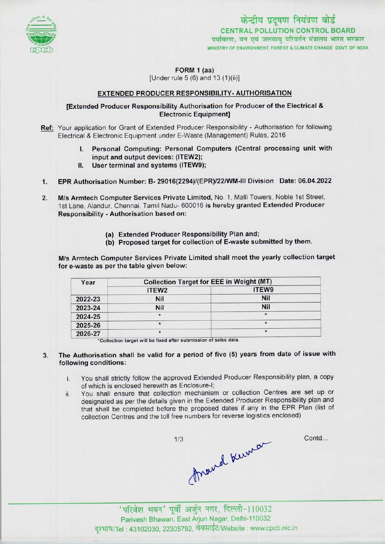

केन्द्रीय प्रदूषण नियंत्रण बोर्ड CENTRAL POLLUTION CONTROL BOARD<br>पर्यावरण, वन एवं जलवायु परिवर्तन मंत्रालय भारत सरकार MINISTRY OF ENVIRONMENT, FOREST & CLIMATE CHANGE GOVT. OF INDIA

FORM 1 (aa)

[Under rule 5 (6) and 13 (1)(ii)]

# EXTENDED PRODUCER RESPONSIBILITY- AUTHORISATION

### [Extended Producer Responsibility Authorisation for Producer of the Electrical & Electronic Equipment]

- Ref: Your application for Grant of Extended Producer Responsibility Authorisation for following Electrical & Electronic Equipment under E-Waste (Management) Rules, 2016
	- I. Personal Computing: Personal Computers (Central processing unit with input and output devices: (ITEW2);
	- II. User terminal and systems (ITEW9);
- 1.EPR Authorisation Number: B- 29016(2294)/(EPR)/22/WM-lll Division Date: 06.04.2022
- 2. M/s Armtech Computer Services Private Limited, No. 1, Malli Towers, Noble 1st Street, 1st Lane, Alandur, Chennai, Tamil Nadu- 600016 is hereby granted Extended Producer Responsibility - Authorisation based on:
	- (a)Extended Producer Responsibility Plan and;
	- (b) Proposed target for collection of E-waste submitted by them.

M/s Armtech Computer Services Private Limited shall meet the yearly collection target for e-waste as per the table given below:

| Year    | <b>Collection Target for EEE in Weight (MT)</b> |         |
|---------|-------------------------------------------------|---------|
|         | ITEW <sub>2</sub>                               | ITEW9   |
| 2022-23 | Nil                                             | Nil     |
| 2023-24 | Nil                                             | Nil     |
| 2024-25 | $\star$                                         | $\star$ |
| 2025-26 | $\star$                                         | $\star$ |
| 2026-27 | $\star$                                         | $\star$ |

'Collection target will bo fixntl aftersubmission ntsales data. \*

- The Authorisation shall be valid for a period of five (5) years from date of issue with 3. following conditions:
	- i. You shall strictly follow the approved Extended Producer Responsibility plan, <sup>a</sup> copy of which is enclosed herewith as Enclosure-!;
	- ii. You shall ensure that collection mechanism or collection Centres are set up or designated as per the details given in the Extended Producer Responsibility plan and that shall be completed before the proposed dates if any in the EPR Plan (list of collection Centres and the toll free numbers for reverse logistics enclosed)

fraind Kurnan  $1/3$ 

Contd...

' परिवेश भवन' पूर्वी अर्जुन नगर, दिल्ली-110032 Parivesh Bhawan, EastArjun Nagar, Delhi-110032 दूरभाष/Tel: 43102030, 22305792, वेबसाईट/Website : www.cpcb.nic.in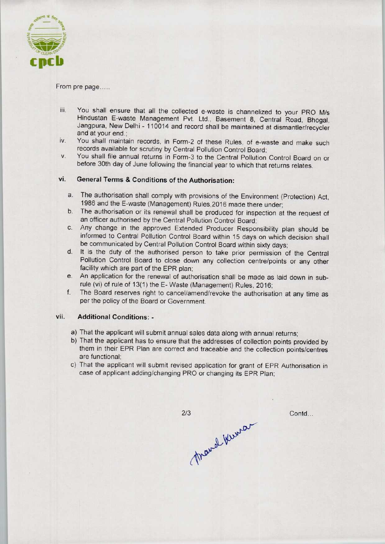

#### From pre page.....

- iii. You shall ensure that all the collected e-waste is channelized to your PRO M/s Hindustan E-waste Management Pvt. Ltd., Basement 8, Central Road, Bhogal, Jangpura, New Delhi - 110014 and record shall be maintained at dismantler/recycler and at your end.;
- iv. You shall maintain records, in Form-2 of these Rules, of e-waste and make such records available for scrutiny by Central Pollution Control Board;
- v. You shall file annual returns in Form-3 to the Central Pollution Control Board on or before 30th day of June following the financial year to which that returns relates.

## vi. General Terms & Conditions of the Authorisation:

- a.The authorisation shall comply with provisions of the Environment (Protection) Act, 1986 and the E-waste (Management) Rules,2016 made there under;
- b.The authorisation or its renewal shall be produced for inspection at the request of an officer authorised by the Central Pollution Control Board;
- c.Any change in the approved Extended Producer Responsibility plan should be informed to Central Pollution Control Board within 15 days on which decision shall be communicated by Central Pollution Control Board within sixty days;
- d. It is the duty of the authorised person to take prior permission of the Central Pollution Control Board to close down any collection centre/points or any other facility which are part of the EPR plan;
- e.An application for the renewal of authorisation shall be made as laid down in subrule (vi) of rule of 13(1) the E-Waste (Management) Rules, 2016;
- f. The Board reserves right to cancel/amend/revoke the authorisation at any time as per the policy of the Board or Government.

## vii. Additional Conditions: -

- a)That the applicant will submit annual sales data along with annual returns;
- b)That the applicant has to ensure that the addresses of collection points provided by them in their EPR Plan are correct and traceable and the collection points/centres are functional;
- c) That the applicant will submit revised application for grant of EPR Authorisation in case of applicant adding/changing PRO or changing its EPR Plan;

 $2/3$ mand Kuma

Contd...